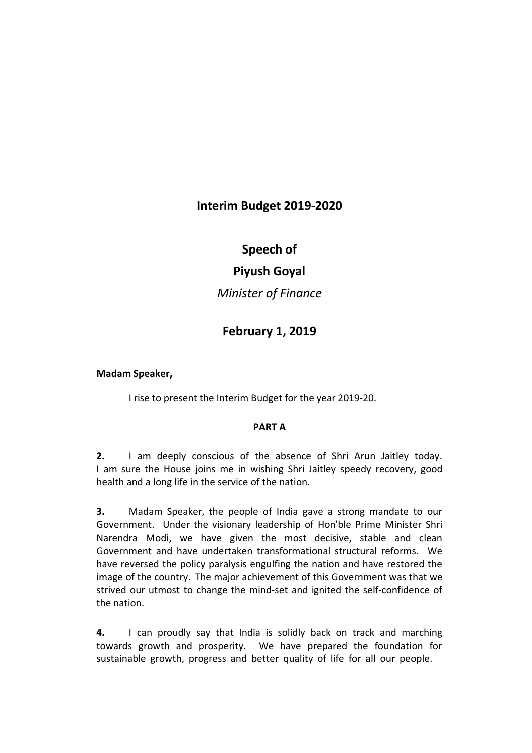# **Interim Budget 2019-2020**

# **Speech of**

# **Piyush Goyal**

*Minister of Finance*

# **February 1, 2019**

**Madam Speaker,** 

I rise to present the Interim Budget for the year 2019-20.

## **PART A**

**2.** I am deeply conscious of the absence of Shri Arun Jaitley today. I am sure the House joins me in wishing Shri Jaitley speedy recovery, good health and a long life in the service of the nation.

**3.** Madam Speaker, **t**he people of India gave a strong mandate to our Government. Under the visionary leadership of Hon'ble Prime Minister Shri Narendra Modi, we have given the most decisive, stable and clean Government and have undertaken transformational structural reforms. We have reversed the policy paralysis engulfing the nation and have restored the image of the country. The major achievement of this Government was that we strived our utmost to change the mind-set and ignited the self-confidence of the nation.

**4.** I can proudly say that India is solidly back on track and marching towards growth and prosperity. We have prepared the foundation for sustainable growth, progress and better quality of life for all our people.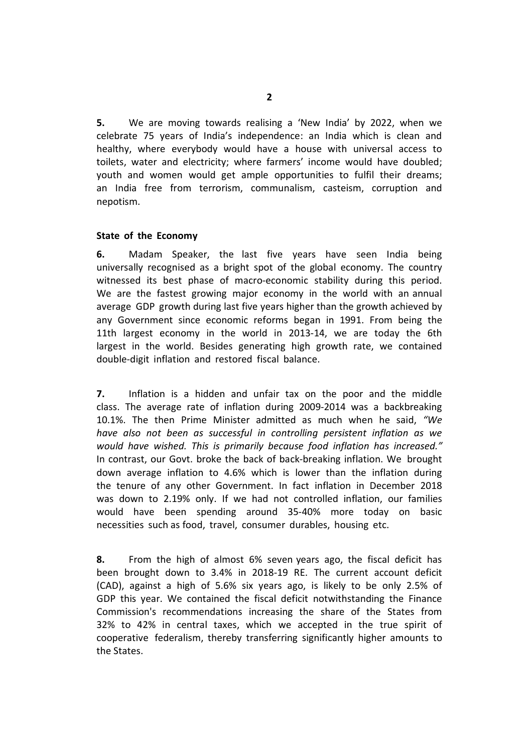**5.** We are moving towards realising a 'New India' by 2022, when we celebrate 75 years of India's independence: an India which is clean and healthy, where everybody would have a house with universal access to toilets, water and electricity; where farmers' income would have doubled; youth and women would get ample opportunities to fulfil their dreams; an India free from terrorism, communalism, casteism, corruption and nepotism.

## **State of the Economy**

**6.** Madam Speaker, the last five years have seen India being universally recognised as a bright spot of the global economy. The country witnessed its best phase of macro-economic stability during this period. We are the fastest growing major economy in the world with an annual average GDP growth during last five years higher than the growth achieved by any Government since economic reforms began in 1991. From being the 11th largest economy in the world in 2013-14, we are today the 6th largest in the world. Besides generating high growth rate, we contained double-digit inflation and restored fiscal balance.

**7.** Inflation is a hidden and unfair tax on the poor and the middle class. The average rate of inflation during 2009-2014 was a backbreaking 10.1%. The then Prime Minister admitted as much when he said, *"We have also not been as successful in controlling persistent inflation as we would have wished. This is primarily because food inflation has increased."* In contrast, our Govt. broke the back of back-breaking inflation. We brought down average inflation to 4.6% which is lower than the inflation during the tenure of any other Government. In fact inflation in December 2018 was down to 2.19% only. If we had not controlled inflation, our families would have been spending around 35-40% more today on basic necessities such as food, travel, consumer durables, housing etc.

**8.** From the high of almost 6% seven years ago, the fiscal deficit has been brought down to 3.4% in 2018-19 RE. The current account deficit (CAD), against a high of 5.6% six years ago, is likely to be only 2.5% of GDP this year. We contained the fiscal deficit notwithstanding the Finance Commission's recommendations increasing the share of the States from 32% to 42% in central taxes, which we accepted in the true spirit of cooperative federalism, thereby transferring significantly higher amounts to the States.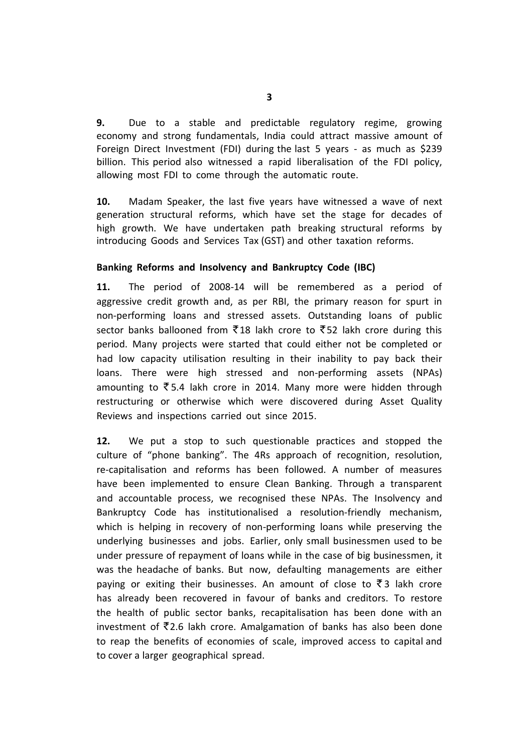**9.** Due to a stable and predictable regulatory regime, growing economy and strong fundamentals, India could attract massive amount of Foreign Direct Investment (FDI) during the last 5 years - as much as \$239 billion. This period also witnessed a rapid liberalisation of the FDI policy, allowing most FDI to come through the automatic route.

**10.** Madam Speaker, the last five years have witnessed a wave of next generation structural reforms, which have set the stage for decades of high growth. We have undertaken path breaking structural reforms by introducing Goods and Services Tax (GST) and other taxation reforms.

## **Banking Reforms and Insolvency and Bankruptcy Code (IBC)**

**11.** The period of 2008-14 will be remembered as a period of aggressive credit growth and, as per RBI, the primary reason for spurt in non-performing loans and stressed assets. Outstanding loans of public sector banks ballooned from  $\overline{5}18$  lakh crore to  $\overline{5}52$  lakh crore during this period. Many projects were started that could either not be completed or had low capacity utilisation resulting in their inability to pay back their loans. There were high stressed and non-performing assets (NPAs) amounting to  $\overline{\xi}$  5.4 lakh crore in 2014. Many more were hidden through restructuring or otherwise which were discovered during Asset Quality Reviews and inspections carried out since 2015.

**12.** We put a stop to such questionable practices and stopped the culture of "phone banking". The 4Rs approach of recognition, resolution, re-capitalisation and reforms has been followed. A number of measures have been implemented to ensure Clean Banking. Through a transparent and accountable process, we recognised these NPAs. The Insolvency and Bankruptcy Code has institutionalised a resolution-friendly mechanism, which is helping in recovery of non-performing loans while preserving the underlying businesses and jobs. Earlier, only small businessmen used to be under pressure of repayment of loans while in the case of big businessmen, it was the headache of banks. But now, defaulting managements are either paying or exiting their businesses. An amount of close to  $\bar{\zeta}$  3 lakh crore has already been recovered in favour of banks and creditors. To restore the health of public sector banks, recapitalisation has been done with an investment of  $\overline{z}$ 2.6 lakh crore. Amalgamation of banks has also been done to reap the benefits of economies of scale, improved access to capital and to cover a larger geographical spread.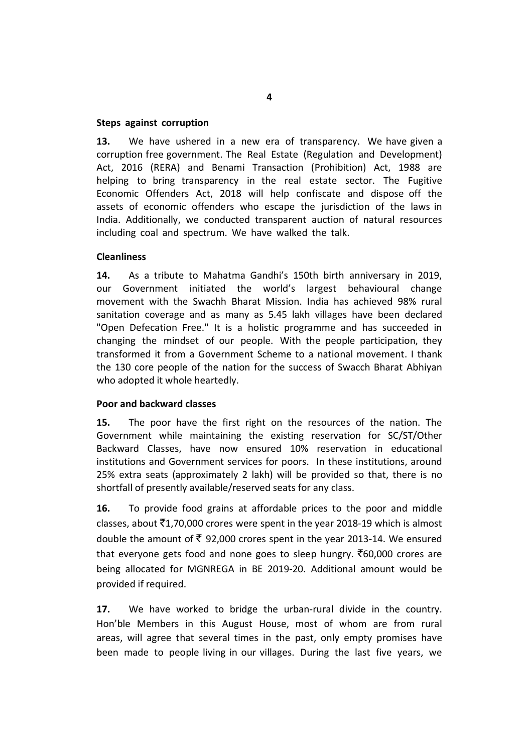## **Steps against corruption**

**13.** We have ushered in a new era of transparency. We have given a corruption free government. The Real Estate (Regulation and Development) Act, 2016 (RERA) and Benami Transaction (Prohibition) Act, 1988 are helping to bring transparency in the real estate sector. The Fugitive Economic Offenders Act, 2018 will help confiscate and dispose off the assets of economic offenders who escape the jurisdiction of the laws in India. Additionally, we conducted transparent auction of natural resources including coal and spectrum. We have walked the talk.

## **Cleanliness**

**14.** As a tribute to Mahatma Gandhi's 150th birth anniversary in 2019, our Government initiated the world's largest behavioural change movement with the Swachh Bharat Mission. India has achieved 98% rural sanitation coverage and as many as 5.45 lakh villages have been declared "Open Defecation Free." It is a holistic programme and has succeeded in changing the mindset of our people. With the people participation, they transformed it from a Government Scheme to a national movement. I thank the 130 core people of the nation for the success of Swacch Bharat Abhiyan who adopted it whole heartedly.

### **Poor and backward classes**

**15.** The poor have the first right on the resources of the nation. The Government while maintaining the existing reservation for SC/ST/Other Backward Classes, have now ensured 10% reservation in educational institutions and Government services for poors. In these institutions, around 25% extra seats (approximately 2 lakh) will be provided so that, there is no shortfall of presently available/reserved seats for any class.

**16.** To provide food grains at affordable prices to the poor and middle classes, about  $\bar{c}1,70,000$  crores were spent in the year 2018-19 which is almost double the amount of  $\bar{\xi}$  92,000 crores spent in the year 2013-14. We ensured that everyone gets food and none goes to sleep hungry.  $\bar{c}$ 60,000 crores are being allocated for MGNREGA in BE 2019-20. Additional amount would be provided if required.

**17.** We have worked to bridge the urban-rural divide in the country. Hon'ble Members in this August House, most of whom are from rural areas, will agree that several times in the past, only empty promises have been made to people living in our villages. During the last five years, we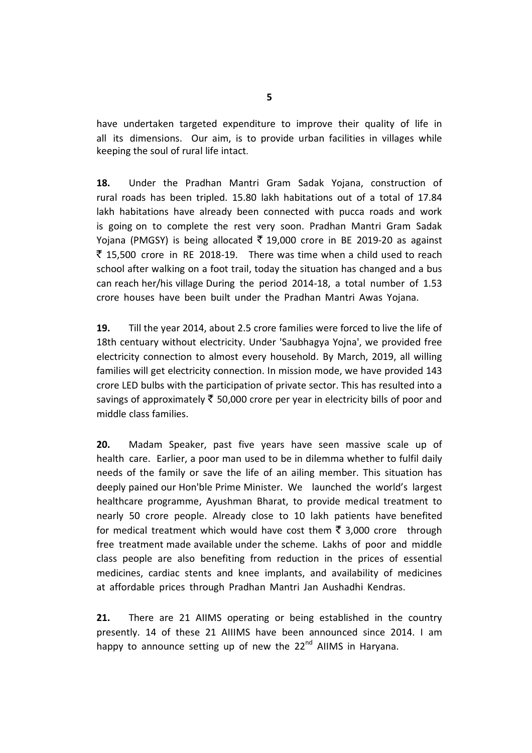have undertaken targeted expenditure to improve their quality of life in all its dimensions. Our aim, is to provide urban facilities in villages while keeping the soul of rural life intact.

**18.** Under the Pradhan Mantri Gram Sadak Yojana, construction of rural roads has been tripled. 15.80 lakh habitations out of a total of 17.84 lakh habitations have already been connected with pucca roads and work is going on to complete the rest very soon. Pradhan Mantri Gram Sadak Yojana (PMGSY) is being allocated  $\overline{5}$  19,000 crore in BE 2019-20 as against  $\bar{z}$  15,500 crore in RE 2018-19. There was time when a child used to reach school after walking on a foot trail, today the situation has changed and a bus can reach her/his village During the period 2014-18, a total number of 1.53 crore houses have been built under the Pradhan Mantri Awas Yojana.

**19.** Till the year 2014, about 2.5 crore families were forced to live the life of 18th centuary without electricity. Under 'Saubhagya Yojna', we provided free electricity connection to almost every household. By March, 2019, all willing families will get electricity connection. In mission mode, we have provided 143 crore LED bulbs with the participation of private sector. This has resulted into a savings of approximately  $\bar{\tau}$  50,000 crore per year in electricity bills of poor and middle class families.

**20.** Madam Speaker, past five years have seen massive scale up of health care. Earlier, a poor man used to be in dilemma whether to fulfil daily needs of the family or save the life of an ailing member. This situation has deeply pained our Hon'ble Prime Minister. We launched the world's largest healthcare programme, Ayushman Bharat, to provide medical treatment to nearly 50 crore people. Already close to 10 lakh patients have benefited for medical treatment which would have cost them  $\bar{\tau}$  3,000 crore through free treatment made available under the scheme. Lakhs of poor and middle class people are also benefiting from reduction in the prices of essential medicines, cardiac stents and knee implants, and availability of medicines at affordable prices through Pradhan Mantri Jan Aushadhi Kendras.

**21.** There are 21 AIIMS operating or being established in the country presently. 14 of these 21 AIIIMS have been announced since 2014. I am happy to announce setting up of new the  $22<sup>nd</sup>$  AIIMS in Haryana.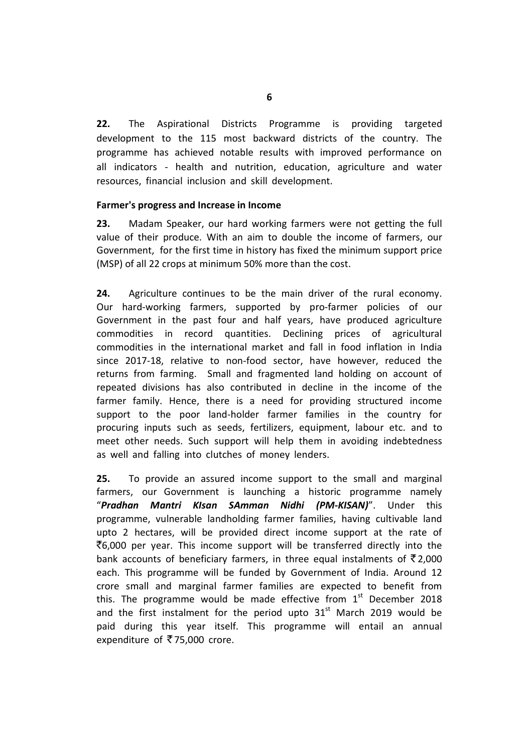**22.** The Aspirational Districts Programme is providing targeted development to the 115 most backward districts of the country. The programme has achieved notable results with improved performance on all indicators - health and nutrition, education, agriculture and water resources, financial inclusion and skill development.

## **Farmer's progress and Increase in Income**

**23.** Madam Speaker, our hard working farmers were not getting the full value of their produce. With an aim to double the income of farmers, our Government, for the first time in history has fixed the minimum support price (MSP) of all 22 crops at minimum 50% more than the cost.

**24.** Agriculture continues to be the main driver of the rural economy. Our hard-working farmers, supported by pro-farmer policies of our Government in the past four and half years, have produced agriculture commodities in record quantities. Declining prices of agricultural commodities in the international market and fall in food inflation in India since 2017-18, relative to non-food sector, have however, reduced the returns from farming. Small and fragmented land holding on account of repeated divisions has also contributed in decline in the income of the farmer family. Hence, there is a need for providing structured income support to the poor land-holder farmer families in the country for procuring inputs such as seeds, fertilizers, equipment, labour etc. and to meet other needs. Such support will help them in avoiding indebtedness as well and falling into clutches of money lenders.

**25.** To provide an assured income support to the small and marginal farmers, our Government is launching a historic programme namely "*Pradhan Mantri KIsan SAmman Nidhi (PM-KISAN)*". Under this programme, vulnerable landholding farmer families, having cultivable land upto 2 hectares, will be provided direct income support at the rate of  $\bar{\xi}$ 6,000 per year. This income support will be transferred directly into the bank accounts of beneficiary farmers, in three equal instalments of  $\bar{\tau}$  2,000 each. This programme will be funded by Government of India. Around 12 crore small and marginal farmer families are expected to benefit from this. The programme would be made effective from  $1<sup>st</sup>$  December 2018 and the first instalment for the period upto  $31<sup>st</sup>$  March 2019 would be paid during this year itself. This programme will entail an annual expenditure of  $\overline{5}$  75,000 crore.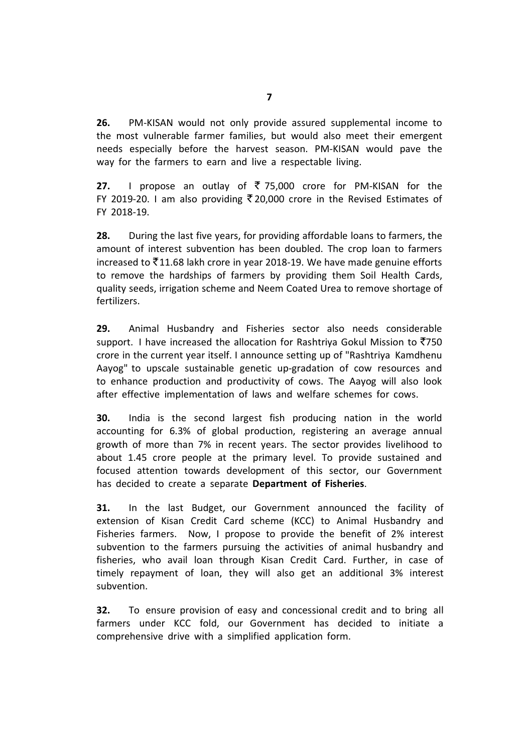**26.** PM-KISAN would not only provide assured supplemental income to the most vulnerable farmer families, but would also meet their emergent needs especially before the harvest season. PM-KISAN would pave the way for the farmers to earn and live a respectable living.

**27.** I propose an outlay of  $\bar{\tau}$  75,000 crore for PM-KISAN for the FY 2019-20. I am also providing  $\overline{5}$  20,000 crore in the Revised Estimates of FY 2018-19.

**28.** During the last five years, for providing affordable loans to farmers, the amount of interest subvention has been doubled. The crop loan to farmers increased to  $\bar{\xi}$ 11.68 lakh crore in year 2018-19. We have made genuine efforts to remove the hardships of farmers by providing them Soil Health Cards, quality seeds, irrigation scheme and Neem Coated Urea to remove shortage of fertilizers.

**29.** Animal Husbandry and Fisheries sector also needs considerable support. I have increased the allocation for Rashtriya Gokul Mission to  $\overline{5}750$ crore in the current year itself. I announce setting up of "Rashtriya Kamdhenu Aayog" to upscale sustainable genetic up-gradation of cow resources and to enhance production and productivity of cows. The Aayog will also look after effective implementation of laws and welfare schemes for cows.

**30.** India is the second largest fish producing nation in the world accounting for 6.3% of global production, registering an average annual growth of more than 7% in recent years. The sector provides livelihood to about 1.45 crore people at the primary level. To provide sustained and focused attention towards development of this sector, our Government has decided to create a separate **Department of Fisheries**.

**31.** In the last Budget, our Government announced the facility of extension of Kisan Credit Card scheme (KCC) to Animal Husbandry and Fisheries farmers. Now, I propose to provide the benefit of 2% interest subvention to the farmers pursuing the activities of animal husbandry and fisheries, who avail loan through Kisan Credit Card. Further, in case of timely repayment of loan, they will also get an additional 3% interest subvention.

**32.** To ensure provision of easy and concessional credit and to bring all farmers under KCC fold, our Government has decided to initiate a comprehensive drive with a simplified application form.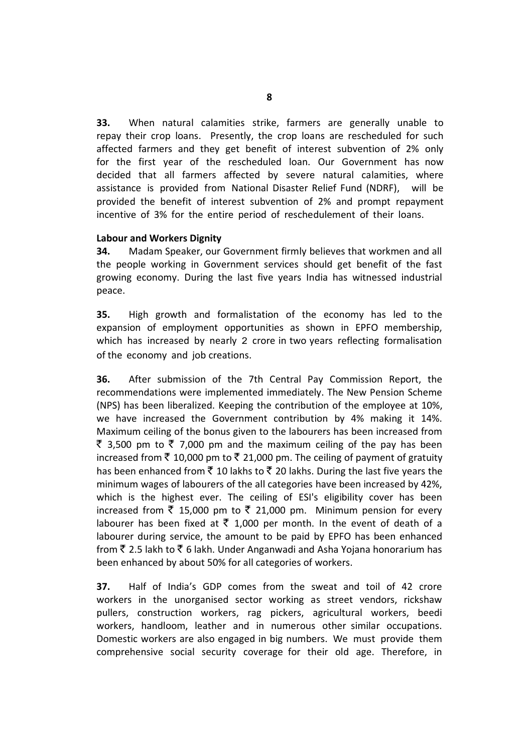**33.** When natural calamities strike, farmers are generally unable to repay their crop loans. Presently, the crop loans are rescheduled for such affected farmers and they get benefit of interest subvention of 2% only for the first year of the rescheduled loan. Our Government has now decided that all farmers affected by severe natural calamities, where assistance is provided from National Disaster Relief Fund (NDRF), will be provided the benefit of interest subvention of 2% and prompt repayment incentive of 3% for the entire period of reschedulement of their loans.

## **Labour and Workers Dignity**

**34.** Madam Speaker, our Government firmly believes that workmen and all the people working in Government services should get benefit of the fast growing economy. During the last five years India has witnessed industrial peace.

**35.** High growth and formalistation of the economy has led to the expansion of employment opportunities as shown in EPFO membership, which has increased by nearly 2 crore in two years reflecting formalisation of the economy and job creations.

**36.** After submission of the 7th Central Pay Commission Report, the recommendations were implemented immediately. The New Pension Scheme (NPS) has been liberalized. Keeping the contribution of the employee at 10%, we have increased the Government contribution by 4% making it 14%. Maximum ceiling of the bonus given to the labourers has been increased from ₹ 3,500 pm to ₹ 7,000 pm and the maximum ceiling of the pay has been increased from  $\bar{\tau}$  10,000 pm to  $\bar{\tau}$  21,000 pm. The ceiling of payment of gratuity has been enhanced from  $\bar{\tau}$  10 lakhs to  $\bar{\tau}$  20 lakhs. During the last five years the minimum wages of labourers of the all categories have been increased by 42%, which is the highest ever. The ceiling of ESI's eligibility cover has been increased from  $\bar{\tau}$  15,000 pm to  $\bar{\tau}$  21,000 pm. Minimum pension for every labourer has been fixed at  $\bar{\tau}$  1,000 per month. In the event of death of a labourer during service, the amount to be paid by EPFO has been enhanced from  $\bar{\xi}$  2.5 lakh to  $\bar{\xi}$  6 lakh. Under Anganwadi and Asha Yojana honorarium has been enhanced by about 50% for all categories of workers.

**37.** Half of India's GDP comes from the sweat and toil of 42 crore workers in the unorganised sector working as street vendors, rickshaw pullers, construction workers, rag pickers, agricultural workers, beedi workers, handloom, leather and in numerous other similar occupations. Domestic workers are also engaged in big numbers. We must provide them comprehensive social security coverage for their old age. Therefore, in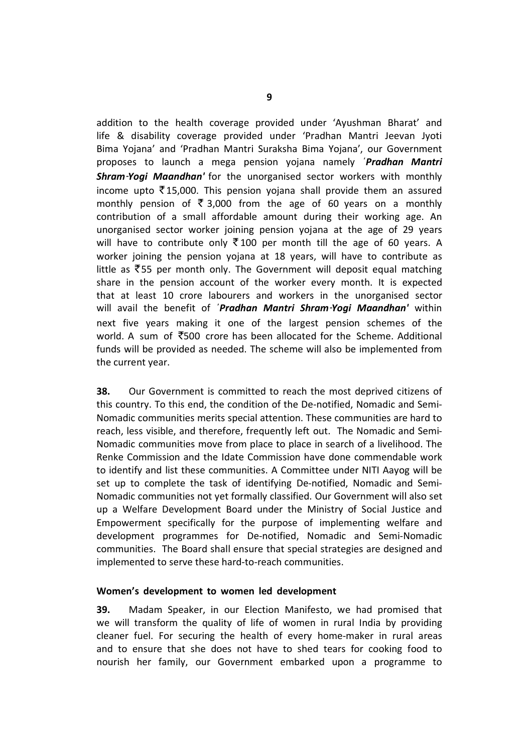addition to the health coverage provided under 'Ayushman Bharat' and life & disability coverage provided under 'Pradhan Mantri Jeevan Jyoti Bima Yojana' and 'Pradhan Mantri Suraksha Bima Yojana', our Government proposes to launch a mega pension yojana namely '*Pradhan Mantri Shram-Yogi Maandhan'* for the unorganised sector workers with monthly income upto  $\bar{\tau}$  15,000. This pension yojana shall provide them an assured monthly pension of  $\overline{5}$  3,000 from the age of 60 years on a monthly contribution of a small affordable amount during their working age. An unorganised sector worker joining pension yojana at the age of 29 years will have to contribute only  $\overline{5}$  100 per month till the age of 60 years. A worker joining the pension yojana at 18 years, will have to contribute as little as  $\overline{5}55$  per month only. The Government will deposit equal matching share in the pension account of the worker every month. It is expected that at least 10 crore labourers and workers in the unorganised sector will avail the benefit of '*Pradhan Mantri Shram-Yogi Maandhan'* within next five years making it one of the largest pension schemes of the world. A sum of  $\overline{5}500$  crore has been allocated for the Scheme. Additional funds will be provided as needed. The scheme will also be implemented from the current year.

**38.** Our Government is committed to reach the most deprived citizens of this country. To this end, the condition of the De-notified, Nomadic and Semi-Nomadic communities merits special attention. These communities are hard to reach, less visible, and therefore, frequently left out. The Nomadic and Semi-Nomadic communities move from place to place in search of a livelihood. The Renke Commission and the Idate Commission have done commendable work to identify and list these communities. A Committee under NITI Aayog will be set up to complete the task of identifying De-notified, Nomadic and Semi-Nomadic communities not yet formally classified. Our Government will also set up a Welfare Development Board under the Ministry of Social Justice and Empowerment specifically for the purpose of implementing welfare and development programmes for De-notified, Nomadic and Semi-Nomadic communities. The Board shall ensure that special strategies are designed and implemented to serve these hard-to-reach communities.

## **Women's development to women led development**

**39.** Madam Speaker, in our Election Manifesto, we had promised that we will transform the quality of life of women in rural India by providing cleaner fuel. For securing the health of every home-maker in rural areas and to ensure that she does not have to shed tears for cooking food to nourish her family, our Government embarked upon a programme to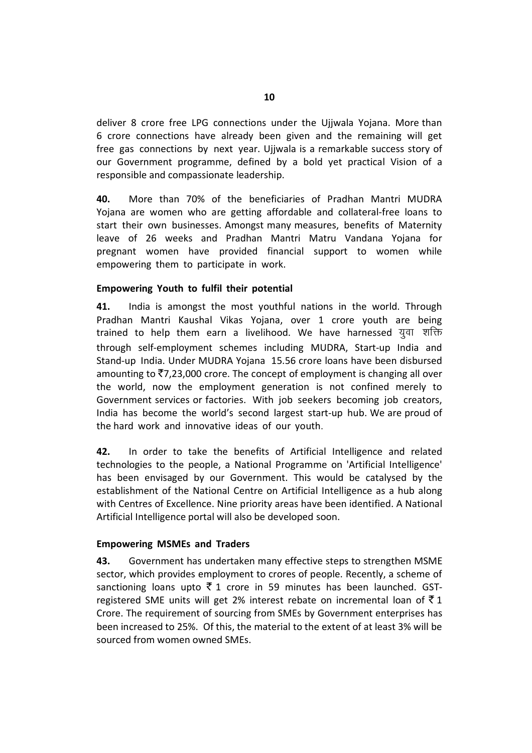deliver 8 crore free LPG connections under the Ujjwala Yojana. More than 6 crore connections have already been given and the remaining will get free gas connections by next year. Ujjwala is a remarkable success story of our Government programme, defined by a bold yet practical Vision of a responsible and compassionate leadership.

**40.** More than 70% of the beneficiaries of Pradhan Mantri MUDRA Yojana are women who are getting affordable and collateral-free loans to start their own businesses. Amongst many measures, benefits of Maternity leave of 26 weeks and Pradhan Mantri Matru Vandana Yojana for pregnant women have provided financial support to women while empowering them to participate in work.

## **Empowering Youth to fulfil their potential**

**41.** India is amongst the most youthful nations in the world. Through Pradhan Mantri Kaushal Vikas Yojana, over 1 crore youth are being trained to help them earn a livelihood. We have harnessed युवा शक्ति through self-employment schemes including MUDRA, Start-up India and Stand-up India. Under MUDRA Yojana 15.56 crore loans have been disbursed amounting to  $\bar{\mathfrak{Z}}$ 7,23,000 crore. The concept of employment is changing all over the world, now the employment generation is not confined merely to Government services or factories. With job seekers becoming job creators, India has become the world's second largest start-up hub. We are proud of the hard work and innovative ideas of our youth.

**42.** In order to take the benefits of Artificial Intelligence and related technologies to the people, a National Programme on 'Artificial Intelligence' has been envisaged by our Government. This would be catalysed by the establishment of the National Centre on Artificial Intelligence as a hub along with Centres of Excellence. Nine priority areas have been identified. A National Artificial Intelligence portal will also be developed soon.

### **Empowering MSMEs and Traders**

**43.** Government has undertaken many effective steps to strengthen MSME sector, which provides employment to crores of people. Recently, a scheme of sanctioning loans upto  $\bar{\xi}$  1 crore in 59 minutes has been launched. GSTregistered SME units will get 2% interest rebate on incremental loan of  $\bar{z}$  1 Crore. The requirement of sourcing from SMEs by Government enterprises has been increased to 25%. Of this, the material to the extent of at least 3% will be sourced from women owned SMEs.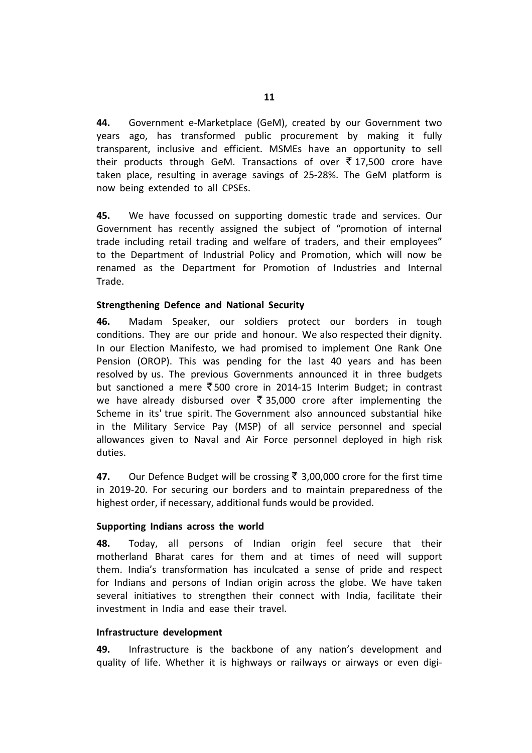**44.** Government e-Marketplace (GeM), created by our Government two years ago, has transformed public procurement by making it fully transparent, inclusive and efficient. MSMEs have an opportunity to sell their products through GeM. Transactions of over  $\bar{\tau}$  17,500 crore have taken place, resulting in average savings of 25-28%. The GeM platform is now being extended to all CPSEs.

**45.** We have focussed on supporting domestic trade and services. Our Government has recently assigned the subject of "promotion of internal trade including retail trading and welfare of traders, and their employees" to the Department of Industrial Policy and Promotion, which will now be renamed as the Department for Promotion of Industries and Internal Trade.

## **Strengthening Defence and National Security**

**46.** Madam Speaker, our soldiers protect our borders in tough conditions. They are our pride and honour. We also respected their dignity. In our Election Manifesto, we had promised to implement One Rank One Pension (OROP). This was pending for the last 40 years and has been resolved by us. The previous Governments announced it in three budgets but sanctioned a mere  $\bar{\xi}$  500 crore in 2014-15 Interim Budget; in contrast we have already disbursed over  $\bar{\tau}$  35,000 crore after implementing the Scheme in its' true spirit. The Government also announced substantial hike in the Military Service Pay (MSP) of all service personnel and special allowances given to Naval and Air Force personnel deployed in high risk duties.

**47.** Our Defence Budget will be crossing ₹ 3,00,000 crore for the first time in 2019-20. For securing our borders and to maintain preparedness of the highest order, if necessary, additional funds would be provided.

## **Supporting Indians across the world**

**48.** Today, all persons of Indian origin feel secure that their motherland Bharat cares for them and at times of need will support them. India's transformation has inculcated a sense of pride and respect for Indians and persons of Indian origin across the globe. We have taken several initiatives to strengthen their connect with India, facilitate their investment in India and ease their travel.

## **Infrastructure development**

**49.** Infrastructure is the backbone of any nation's development and quality of life. Whether it is highways or railways or airways or even digi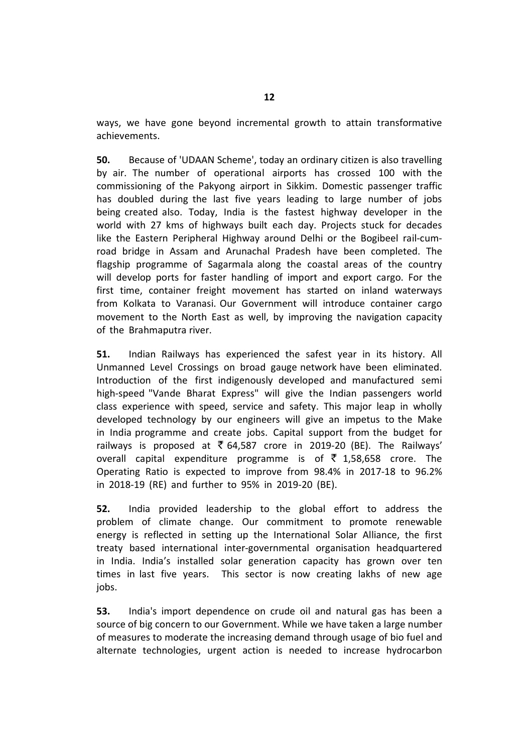ways, we have gone beyond incremental growth to attain transformative achievements.

**50.** Because of 'UDAAN Scheme', today an ordinary citizen is also travelling by air. The number of operational airports has crossed 100 with the commissioning of the Pakyong airport in Sikkim. Domestic passenger traffic has doubled during the last five years leading to large number of jobs being created also. Today, India is the fastest highway developer in the world with 27 kms of highways built each day. Projects stuck for decades like the Eastern Peripheral Highway around Delhi or the Bogibeel rail-cumroad bridge in Assam and Arunachal Pradesh have been completed. The flagship programme of Sagarmala along the coastal areas of the country will develop ports for faster handling of import and export cargo. For the first time, container freight movement has started on inland waterways from Kolkata to Varanasi. Our Government will introduce container cargo movement to the North East as well, by improving the navigation capacity of the Brahmaputra river.

**51.** Indian Railways has experienced the safest year in its history. All Unmanned Level Crossings on broad gauge network have been eliminated. Introduction of the first indigenously developed and manufactured semi high-speed "Vande Bharat Express" will give the Indian passengers world class experience with speed, service and safety. This major leap in wholly developed technology by our engineers will give an impetus to the Make in India programme and create jobs. Capital support from the budget for railways is proposed at  $\overline{\xi}$  64,587 crore in 2019-20 (BE). The Railways' overall capital expenditure programme is of  $\bar{\tau}$  1,58,658 crore. The Operating Ratio is expected to improve from 98.4% in 2017-18 to 96.2% in 2018-19 (RE) and further to 95% in 2019-20 (BE).

**52.** India provided leadership to the global effort to address the problem of climate change. Our commitment to promote renewable energy is reflected in setting up the International Solar Alliance, the first treaty based international inter-governmental organisation headquartered in India. India's installed solar generation capacity has grown over ten times in last five years. This sector is now creating lakhs of new age jobs.

**53.** India's import dependence on crude oil and natural gas has been a source of big concern to our Government. While we have taken a large number of measures to moderate the increasing demand through usage of bio fuel and alternate technologies, urgent action is needed to increase hydrocarbon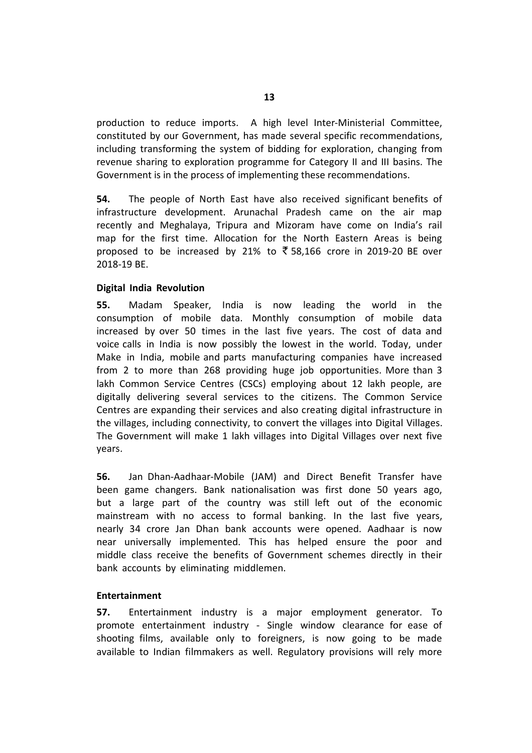production to reduce imports. A high level Inter-Ministerial Committee, constituted by our Government, has made several specific recommendations, including transforming the system of bidding for exploration, changing from revenue sharing to exploration programme for Category II and III basins. The Government is in the process of implementing these recommendations.

**54.** The people of North East have also received significant benefits of infrastructure development. Arunachal Pradesh came on the air map recently and Meghalaya, Tripura and Mizoram have come on India's rail map for the first time. Allocation for the North Eastern Areas is being proposed to be increased by 21% to  $\overline{5}$  58,166 crore in 2019-20 BE over 2018-19 BE.

## **Digital India Revolution**

**55.** Madam Speaker, India is now leading the world in the consumption of mobile data. Monthly consumption of mobile data increased by over 50 times in the last five years. The cost of data and voice calls in India is now possibly the lowest in the world. Today, under Make in India, mobile and parts manufacturing companies have increased from 2 to more than 268 providing huge job opportunities. More than 3 lakh Common Service Centres (CSCs) employing about 12 lakh people, are digitally delivering several services to the citizens. The Common Service Centres are expanding their services and also creating digital infrastructure in the villages, including connectivity, to convert the villages into Digital Villages. The Government will make 1 lakh villages into Digital Villages over next five years.

**56.** Jan Dhan-Aadhaar-Mobile (JAM) and Direct Benefit Transfer have been game changers. Bank nationalisation was first done 50 years ago, but a large part of the country was still left out of the economic mainstream with no access to formal banking. In the last five years, nearly 34 crore Jan Dhan bank accounts were opened. Aadhaar is now near universally implemented. This has helped ensure the poor and middle class receive the benefits of Government schemes directly in their bank accounts by eliminating middlemen.

## **Entertainment**

**57.** Entertainment industry is a major employment generator. To promote entertainment industry - Single window clearance for ease of shooting films, available only to foreigners, is now going to be made available to Indian filmmakers as well. Regulatory provisions will rely more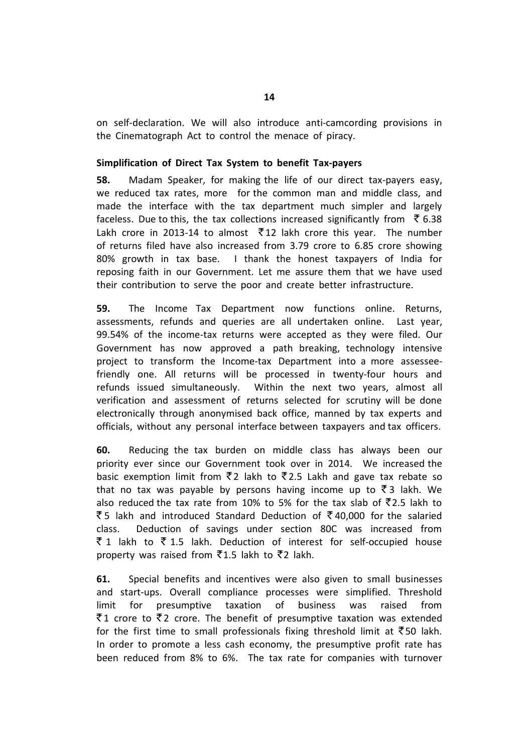on self-declaration. We will also introduce anti-camcording provisions in the Cinematograph Act to control the menace of piracy.

## **Simplification of Direct Tax System to benefit Tax-payers**

**58.** Madam Speaker, for making the life of our direct tax-payers easy, we reduced tax rates, more for the common man and middle class, and made the interface with the tax department much simpler and largely faceless. Due to this, the tax collections increased significantly from  $\bar{\tau}$  6.38 Lakh crore in 2013-14 to almost  $\overline{5}$  12 lakh crore this year. The number of returns filed have also increased from 3.79 crore to 6.85 crore showing 80% growth in tax base. I thank the honest taxpayers of India for reposing faith in our Government. Let me assure them that we have used their contribution to serve the poor and create better infrastructure.

**59.** The Income Tax Department now functions online. Returns, assessments, refunds and queries are all undertaken online. Last year, 99.54% of the income-tax returns were accepted as they were filed. Our Government has now approved a path breaking, technology intensive project to transform the Income-tax Department into a more assesseefriendly one. All returns will be processed in twenty-four hours and refunds issued simultaneously. Within the next two years, almost all verification and assessment of returns selected for scrutiny will be done electronically through anonymised back office, manned by tax experts and officials, without any personal interface between taxpayers and tax officers.

**60.** Reducing the tax burden on middle class has always been our priority ever since our Government took over in 2014. We increased the basic exemption limit from  $\bar{z}$  lakh to  $\bar{z}$  2.5 Lakh and gave tax rebate so that no tax was payable by persons having income up to  $\bar{z}$  a lakh. We also reduced the tax rate from 10% to 5% for the tax slab of  $\overline{z}$ 2.5 lakh to  $\overline{\xi}$  5 lakh and introduced Standard Deduction of  $\overline{\xi}$  40,000 for the salaried class. Deduction of savings under section 80C was increased from  $\bar{z}$  1 lakh to  $\bar{z}$  1.5 lakh. Deduction of interest for self-occupied house property was raised from  $\overline{5}1.5$  lakh to  $\overline{5}2$  lakh.

**61.** Special benefits and incentives were also given to small businesses and start-ups. Overall compliance processes were simplified. Threshold limit for presumptive taxation of business was raised from  $\bar{z}$  1 crore to  $\bar{z}$  2 crore. The benefit of presumptive taxation was extended for the first time to small professionals fixing threshold limit at  $\bar{z}$ 50 lakh. In order to promote a less cash economy, the presumptive profit rate has been reduced from 8% to 6%. The tax rate for companies with turnover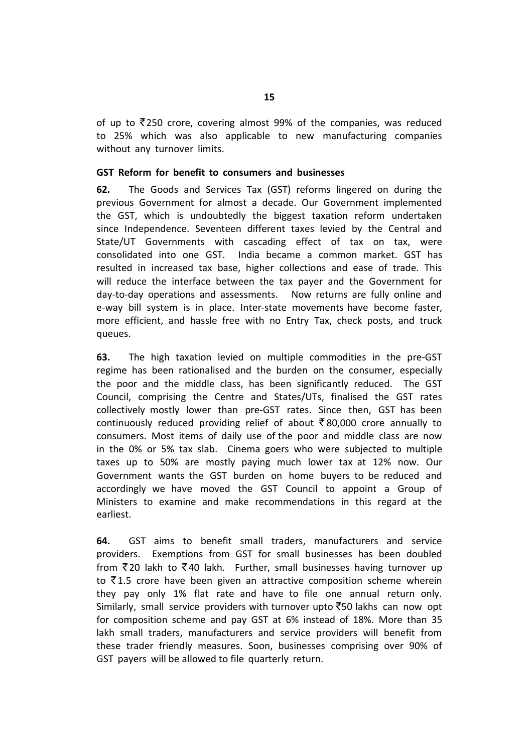of up to  $\overline{5}250$  crore, covering almost 99% of the companies, was reduced to 25% which was also applicable to new manufacturing companies without any turnover limits.

## **GST Reform for benefit to consumers and businesses**

**62.** The Goods and Services Tax (GST) reforms lingered on during the previous Government for almost a decade. Our Government implemented the GST, which is undoubtedly the biggest taxation reform undertaken since Independence. Seventeen different taxes levied by the Central and State/UT Governments with cascading effect of tax on tax, were consolidated into one GST. India became a common market. GST has resulted in increased tax base, higher collections and ease of trade. This will reduce the interface between the tax payer and the Government for day-to-day operations and assessments. Now returns are fully online and e-way bill system is in place. Inter-state movements have become faster, more efficient, and hassle free with no Entry Tax, check posts, and truck queues.

**63.** The high taxation levied on multiple commodities in the pre-GST regime has been rationalised and the burden on the consumer, especially the poor and the middle class, has been significantly reduced. The GST Council, comprising the Centre and States/UTs, finalised the GST rates collectively mostly lower than pre-GST rates. Since then, GST has been continuously reduced providing relief of about  $\bar{\tau}$  80,000 crore annually to consumers. Most items of daily use of the poor and middle class are now in the 0% or 5% tax slab. Cinema goers who were subjected to multiple taxes up to 50% are mostly paying much lower tax at 12% now. Our Government wants the GST burden on home buyers to be reduced and accordingly we have moved the GST Council to appoint a Group of Ministers to examine and make recommendations in this regard at the earliest.

**64.** GST aims to benefit small traders, manufacturers and service providers. Exemptions from GST for small businesses has been doubled from  $\bar{z}$  20 lakh to  $\bar{z}$  40 lakh. Further, small businesses having turnover up to  $\bar{\mathfrak{c}}$  1.5 crore have been given an attractive composition scheme wherein they pay only 1% flat rate and have to file one annual return only. Similarly, small service providers with turnover upto  $\bar{z}$ 50 lakhs can now opt for composition scheme and pay GST at 6% instead of 18%. More than 35 lakh small traders, manufacturers and service providers will benefit from these trader friendly measures. Soon, businesses comprising over 90% of GST payers will be allowed to file quarterly return.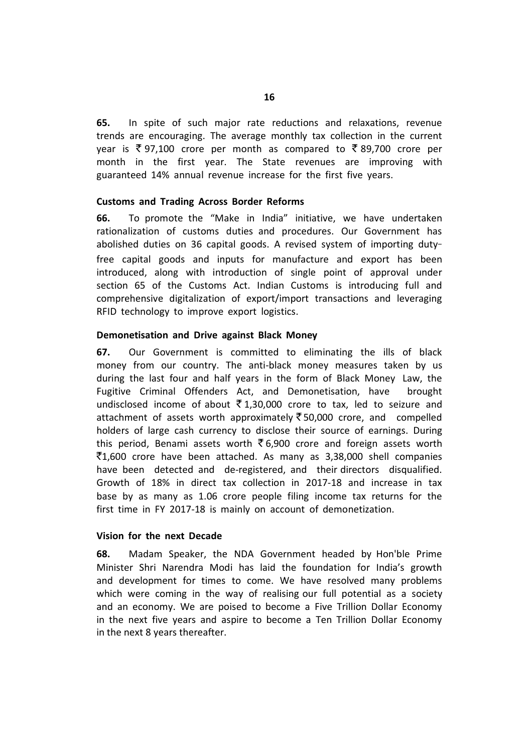**65.** In spite of such major rate reductions and relaxations, revenue trends are encouraging. The average monthly tax collection in the current year is  $\overline{\xi}$  97,100 crore per month as compared to  $\overline{\xi}$  89,700 crore per month in the first year. The State revenues are improving with guaranteed 14% annual revenue increase for the first five years.

## **Customs and Trading Across Border Reforms**

**66.** To promote the "Make in India" initiative, we have undertaken rationalization of customs duties and procedures. Our Government has abolished duties on 36 capital goods. A revised system of importing dutyfree capital goods and inputs for manufacture and export has been introduced, along with introduction of single point of approval under section 65 of the Customs Act. Indian Customs is introducing full and comprehensive digitalization of export/import transactions and leveraging RFID technology to improve export logistics.

### **Demonetisation and Drive against Black Money**

**67.** Our Government is committed to eliminating the ills of black money from our country. The anti-black money measures taken by us during the last four and half years in the form of Black Money Law, the Fugitive Criminal Offenders Act, and Demonetisation, have brought undisclosed income of about  $\bar{\tau}$  1,30,000 crore to tax, led to seizure and attachment of assets worth approximately  $\overline{\xi}$  50,000 crore, and compelled holders of large cash currency to disclose their source of earnings. During this period, Benami assets worth  $\bar{\xi}$  6,900 crore and foreign assets worth  $\bar{z}$ 1,600 crore have been attached. As many as 3,38,000 shell companies have been detected and de-registered, and their directors disqualified. Growth of 18% in direct tax collection in 2017-18 and increase in tax base by as many as 1.06 crore people filing income tax returns for the first time in FY 2017-18 is mainly on account of demonetization.

## **Vision for the next Decade**

**68.** Madam Speaker, the NDA Government headed by Hon'ble Prime Minister Shri Narendra Modi has laid the foundation for India's growth and development for times to come. We have resolved many problems which were coming in the way of realising our full potential as a society and an economy. We are poised to become a Five Trillion Dollar Economy in the next five years and aspire to become a Ten Trillion Dollar Economy in the next 8 years thereafter.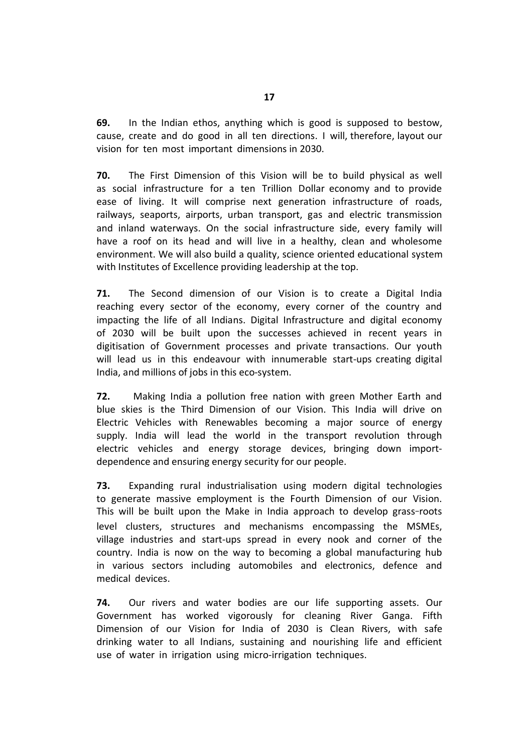**69.** In the Indian ethos, anything which is good is supposed to bestow, cause, create and do good in all ten directions. I will, therefore, layout our vision for ten most important dimensions in 2030.

**70.** The First Dimension of this Vision will be to build physical as well as social infrastructure for a ten Trillion Dollar economy and to provide ease of living. It will comprise next generation infrastructure of roads, railways, seaports, airports, urban transport, gas and electric transmission and inland waterways. On the social infrastructure side, every family will have a roof on its head and will live in a healthy, clean and wholesome environment. We will also build a quality, science oriented educational system with Institutes of Excellence providing leadership at the top.

**71.** The Second dimension of our Vision is to create a Digital India reaching every sector of the economy, every corner of the country and impacting the life of all Indians. Digital Infrastructure and digital economy of 2030 will be built upon the successes achieved in recent years in digitisation of Government processes and private transactions. Our youth will lead us in this endeavour with innumerable start-ups creating digital India, and millions of jobs in this eco-system.

**72.** Making India a pollution free nation with green Mother Earth and blue skies is the Third Dimension of our Vision. This India will drive on Electric Vehicles with Renewables becoming a major source of energy supply. India will lead the world in the transport revolution through electric vehicles and energy storage devices, bringing down importdependence and ensuring energy security for our people.

**73.** Expanding rural industrialisation using modern digital technologies to generate massive employment is the Fourth Dimension of our Vision. This will be built upon the Make in India approach to develop grass-roots level clusters, structures and mechanisms encompassing the MSMEs, village industries and start-ups spread in every nook and corner of the country. India is now on the way to becoming a global manufacturing hub in various sectors including automobiles and electronics, defence and medical devices.

**74.** Our rivers and water bodies are our life supporting assets. Our Government has worked vigorously for cleaning River Ganga. Fifth Dimension of our Vision for India of 2030 is Clean Rivers, with safe drinking water to all Indians, sustaining and nourishing life and efficient use of water in irrigation using micro-irrigation techniques.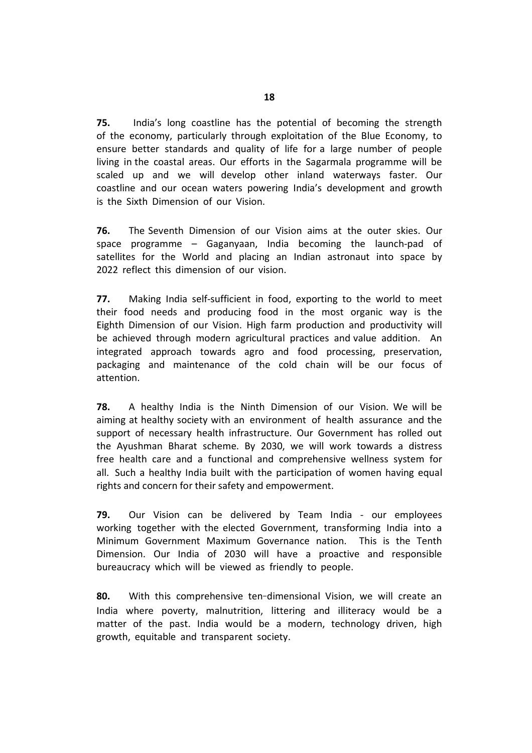**75.** India's long coastline has the potential of becoming the strength of the economy, particularly through exploitation of the Blue Economy, to ensure better standards and quality of life for a large number of people living in the coastal areas. Our efforts in the Sagarmala programme will be scaled up and we will develop other inland waterways faster. Our coastline and our ocean waters powering India's development and growth is the Sixth Dimension of our Vision.

**76.** The Seventh Dimension of our Vision aims at the outer skies. Our space programme – Gaganyaan, India becoming the launch-pad of satellites for the World and placing an Indian astronaut into space by 2022 reflect this dimension of our vision.

**77.** Making India self-sufficient in food, exporting to the world to meet their food needs and producing food in the most organic way is the Eighth Dimension of our Vision. High farm production and productivity will be achieved through modern agricultural practices and value addition. An integrated approach towards agro and food processing, preservation, packaging and maintenance of the cold chain will be our focus of attention.

**78.** A healthy India is the Ninth Dimension of our Vision. We will be aiming at healthy society with an environment of health assurance and the support of necessary health infrastructure. Our Government has rolled out the Ayushman Bharat scheme. By 2030, we will work towards a distress free health care and a functional and comprehensive wellness system for all. Such a healthy India built with the participation of women having equal rights and concern for their safety and empowerment.

**79.** Our Vision can be delivered by Team India - our employees working together with the elected Government, transforming India into a Minimum Government Maximum Governance nation. This is the Tenth Dimension. Our India of 2030 will have a proactive and responsible bureaucracy which will be viewed as friendly to people.

**80.** With this comprehensive ten-dimensional Vision, we will create an India where poverty, malnutrition, littering and illiteracy would be a matter of the past. India would be a modern, technology driven, high growth, equitable and transparent society.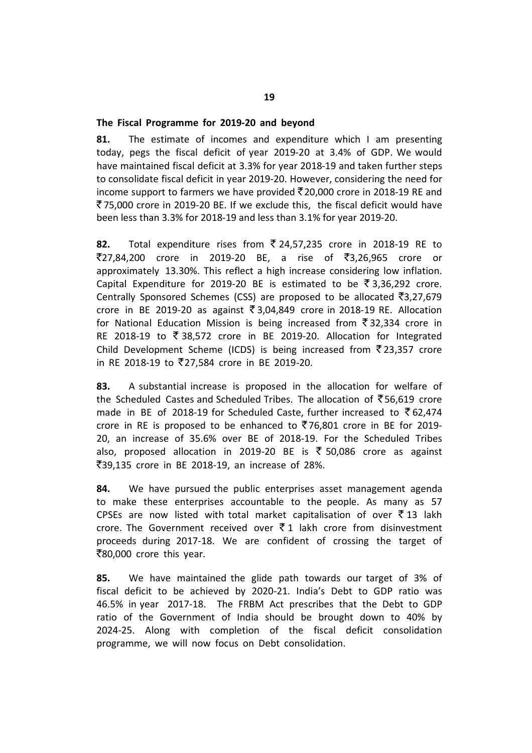## **The Fiscal Programme for 2019-20 and beyond**

**81.** The estimate of incomes and expenditure which I am presenting today, pegs the fiscal deficit of year 2019-20 at 3.4% of GDP. We would have maintained fiscal deficit at 3.3% for year 2018-19 and taken further steps to consolidate fiscal deficit in year 2019-20. However, considering the need for income support to farmers we have provided  $\overline{5}$  20,000 crore in 2018-19 RE and ` 75,000 crore in 2019-20 BE. If we exclude this, the fiscal deficit would have been less than 3.3% for 2018-19 and less than 3.1% for year 2019-20.

82. Total expenditure rises from ₹24,57,235 crore in 2018-19 RE to  $\overline{5}27,84,200$  crore in 2019-20 BE, a rise of  $\overline{5}3,26,965$  crore or approximately 13.30%. This reflect a high increase considering low inflation. Capital Expenditure for 2019-20 BE is estimated to be  $\overline{5}$  3,36,292 crore. Centrally Sponsored Schemes (CSS) are proposed to be allocated  $\bar{\mathfrak{S}}3,27,679$ crore in BE 2019-20 as against  $\overline{5}$  3,04,849 crore in 2018-19 RE. Allocation for National Education Mission is being increased from  $\bar{\zeta}$  32,334 crore in RE 2018-19 to  $\overline{\xi}$  38,572 crore in BE 2019-20. Allocation for Integrated Child Development Scheme (ICDS) is being increased from  $\bar{\tau}$ 23,357 crore in RE 2018-19 to `27,584 crore in BE 2019-20.

**83.** A substantial increase is proposed in the allocation for welfare of the Scheduled Castes and Scheduled Tribes. The allocation of  $\overline{5}$ 56,619 crore made in BE of 2018-19 for Scheduled Caste, further increased to  $\bar{\tau}$  62,474 crore in RE is proposed to be enhanced to  $\overline{5}76,801$  crore in BE for 2019-20, an increase of 35.6% over BE of 2018-19. For the Scheduled Tribes also, proposed allocation in 2019-20 BE is  $\bar{\xi}$  50,086 crore as against `39,135 crore in BE 2018-19, an increase of 28%.

**84.** We have pursued the public enterprises asset management agenda to make these enterprises accountable to the people. As many as 57 CPSEs are now listed with total market capitalisation of over  $\bar{\tau}$  13 lakh crore. The Government received over  $\bar{z}$  1 lakh crore from disinvestment proceeds during 2017-18. We are confident of crossing the target of  $\overline{\mathfrak{F}}80,000$  crore this year.

**85.** We have maintained the glide path towards our target of 3% of fiscal deficit to be achieved by 2020-21. India's Debt to GDP ratio was 46.5% in year 2017-18. The FRBM Act prescribes that the Debt to GDP ratio of the Government of India should be brought down to 40% by 2024-25. Along with completion of the fiscal deficit consolidation programme, we will now focus on Debt consolidation.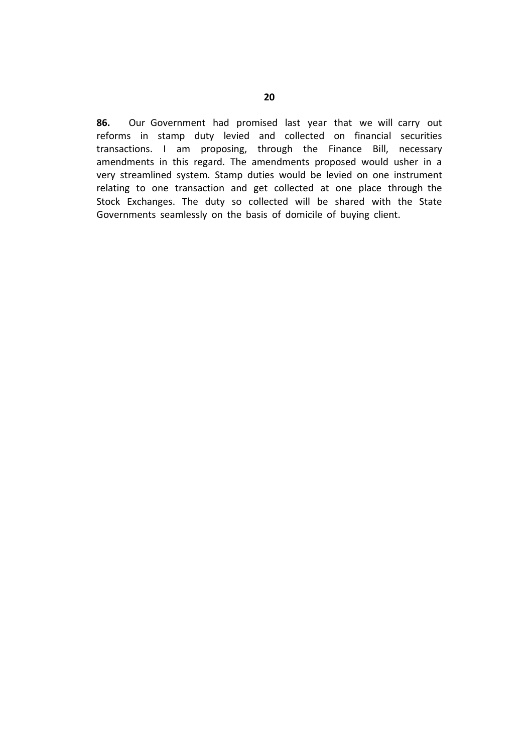**86.** Our Government had promised last year that we will carry out reforms in stamp duty levied and collected on financial securities transactions. I am proposing, through the Finance Bill, necessary amendments in this regard. The amendments proposed would usher in a very streamlined system. Stamp duties would be levied on one instrument relating to one transaction and get collected at one place through the Stock Exchanges. The duty so collected will be shared with the State Governments seamlessly on the basis of domicile of buying client.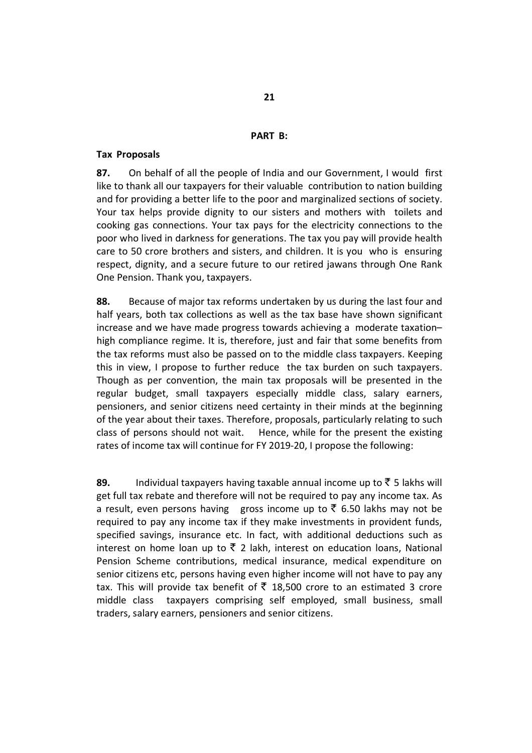## **PART B:**

### **Tax Proposals**

**87.** On behalf of all the people of India and our Government, I would first like to thank all our taxpayers for their valuable contribution to nation building and for providing a better life to the poor and marginalized sections of society. Your tax helps provide dignity to our sisters and mothers with toilets and cooking gas connections. Your tax pays for the electricity connections to the poor who lived in darkness for generations. The tax you pay will provide health care to 50 crore brothers and sisters, and children. It is you who is ensuring respect, dignity, and a secure future to our retired jawans through One Rank One Pension. Thank you, taxpayers.

**88.** Because of major tax reforms undertaken by us during the last four and half years, both tax collections as well as the tax base have shown significant increase and we have made progress towards achieving a moderate taxation– high compliance regime. It is, therefore, just and fair that some benefits from the tax reforms must also be passed on to the middle class taxpayers. Keeping this in view, I propose to further reduce the tax burden on such taxpayers. Though as per convention, the main tax proposals will be presented in the regular budget, small taxpayers especially middle class, salary earners, pensioners, and senior citizens need certainty in their minds at the beginning of the year about their taxes. Therefore, proposals, particularly relating to such class of persons should not wait. Hence, while for the present the existing rates of income tax will continue for FY 2019-20, I propose the following:

**89.** Individual taxpayers having taxable annual income up to  $\bar{\tau}$  5 lakhs will get full tax rebate and therefore will not be required to pay any income tax. As a result, even persons having gross income up to  $\bar{\zeta}$  6.50 lakhs may not be required to pay any income tax if they make investments in provident funds, specified savings, insurance etc. In fact, with additional deductions such as interest on home loan up to  $\bar{\tau}$  2 lakh, interest on education loans, National Pension Scheme contributions, medical insurance, medical expenditure on senior citizens etc, persons having even higher income will not have to pay any tax. This will provide tax benefit of  $\bar{z}$  18,500 crore to an estimated 3 crore middle class taxpayers comprising self employed, small business, small traders, salary earners, pensioners and senior citizens.